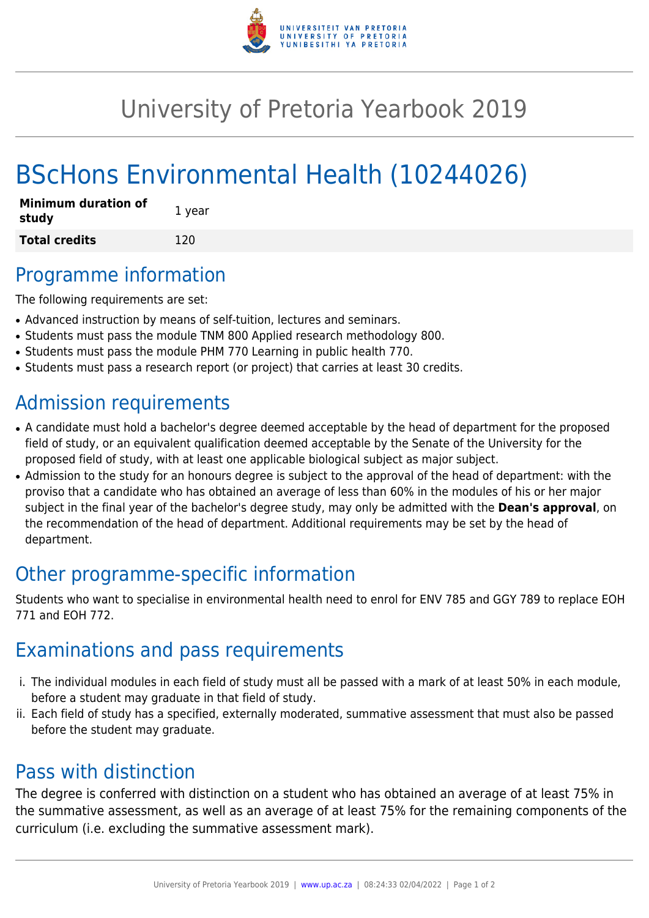

## University of Pretoria Yearbook 2019

# BScHons Environmental Health (10244026)

| <b>Minimum duration of</b><br>study | 1 year |
|-------------------------------------|--------|
| <b>Total credits</b>                | 120    |

#### Programme information

The following requirements are set:

- Advanced instruction by means of self-tuition, lectures and seminars.
- Students must pass the module TNM 800 Applied research methodology 800.
- Students must pass the module PHM 770 Learning in public health 770.
- Students must pass a research report (or project) that carries at least 30 credits.

### Admission requirements

- A candidate must hold a bachelor's degree deemed acceptable by the head of department for the proposed field of study, or an equivalent qualification deemed acceptable by the Senate of the University for the proposed field of study, with at least one applicable biological subject as major subject.
- Admission to the study for an honours degree is subject to the approval of the head of department: with the proviso that a candidate who has obtained an average of less than 60% in the modules of his or her major subject in the final year of the bachelor's degree study, may only be admitted with the **Dean's approval**, on the recommendation of the head of department. Additional requirements may be set by the head of department.

### Other programme-specific information

Students who want to specialise in environmental health need to enrol for ENV 785 and GGY 789 to replace EOH 771 and EOH 772.

### Examinations and pass requirements

- i. The individual modules in each field of study must all be passed with a mark of at least 50% in each module, before a student may graduate in that field of study.
- ii. Each field of study has a specified, externally moderated, summative assessment that must also be passed before the student may graduate.

#### Pass with distinction

The degree is conferred with distinction on a student who has obtained an average of at least 75% in the summative assessment, as well as an average of at least 75% for the remaining components of the curriculum (i.e. excluding the summative assessment mark).